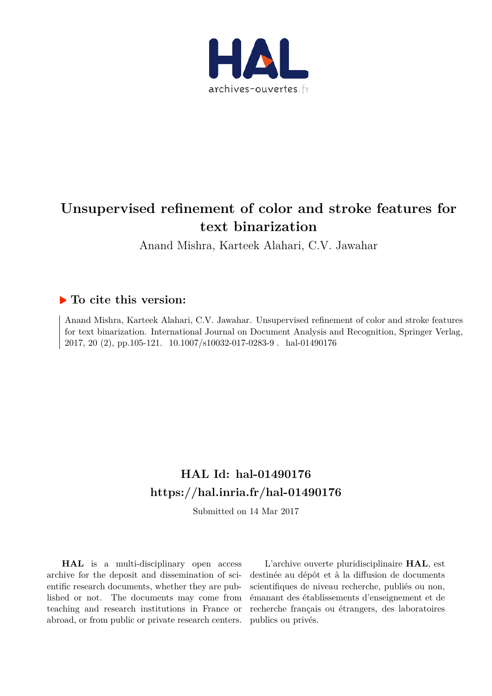

# **Unsupervised refinement of color and stroke features for text binarization**

Anand Mishra, Karteek Alahari, C.V. Jawahar

# **To cite this version:**

Anand Mishra, Karteek Alahari, C.V. Jawahar. Unsupervised refinement of color and stroke features for text binarization. International Journal on Document Analysis and Recognition, Springer Verlag, 2017, 20 (2), pp.105-121. 10.1007/s10032-017-0283-9. hal-01490176

# **HAL Id: hal-01490176 https://hal.inria.fr/hal-01490176**

Submitted on 14 Mar 2017

**HAL** is a multi-disciplinary open access archive for the deposit and dissemination of scientific research documents, whether they are published or not. The documents may come from teaching and research institutions in France or abroad, or from public or private research centers.

L'archive ouverte pluridisciplinaire **HAL**, est destinée au dépôt et à la diffusion de documents scientifiques de niveau recherche, publiés ou non, émanant des établissements d'enseignement et de recherche français ou étrangers, des laboratoires publics ou privés.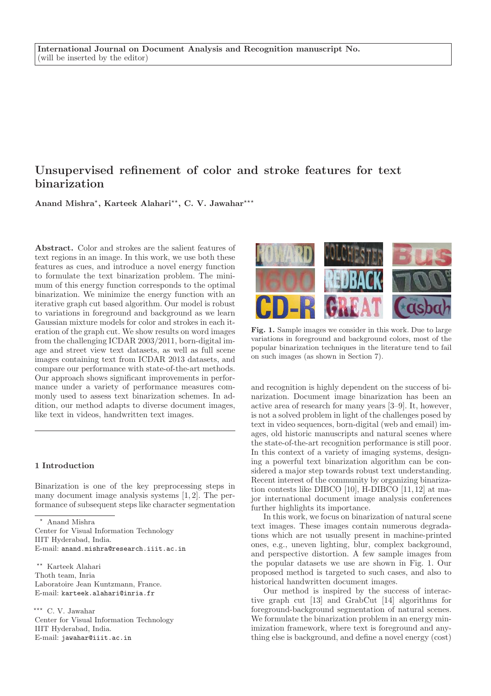# Unsupervised refinement of color and stroke features for text binarization

Anand Mishra<sup>\*</sup>, Karteek Alahari<sup>\*\*</sup>, C. V. Jawahar<sup>\*\*\*</sup>

Abstract. Color and strokes are the salient features of text regions in an image. In this work, we use both these features as cues, and introduce a novel energy function to formulate the text binarization problem. The minimum of this energy function corresponds to the optimal binarization. We minimize the energy function with an iterative graph cut based algorithm. Our model is robust to variations in foreground and background as we learn Gaussian mixture models for color and strokes in each iteration of the graph cut. We show results on word images from the challenging ICDAR 2003/2011, born-digital image and street view text datasets, as well as full scene images containing text from ICDAR 2013 datasets, and compare our performance with state-of-the-art methods. Our approach shows significant improvements in performance under a variety of performance measures commonly used to assess text binarization schemes. In addition, our method adapts to diverse document images, like text in videos, handwritten text images.

#### 1 Introduction

Binarization is one of the key preprocessing steps in many document image analysis systems [1, 2]. The performance of subsequent steps like character segmentation

<sup>⋆</sup> Anand Mishra Center for Visual Information Technology IIIT Hyderabad, India. E-mail: anand.mishra@research.iiit.ac.in

⋆⋆ Karteek Alahari Thoth team, Inria Laboratoire Jean Kuntzmann, France. E-mail: karteek.alahari@inria.fr

\*\*\* C. V. Jawahar Center for Visual Information Technology IIIT Hyderabad, India. E-mail: jawahar@iiit.ac.in



Fig. 1. Sample images we consider in this work. Due to large variations in foreground and background colors, most of the popular binarization techniques in the literature tend to fail on such images (as shown in Section 7).

and recognition is highly dependent on the success of binarization. Document image binarization has been an active area of research for many years [3–9]. It, however, is not a solved problem in light of the challenges posed by text in video sequences, born-digital (web and email) images, old historic manuscripts and natural scenes where the state-of-the-art recognition performance is still poor. In this context of a variety of imaging systems, designing a powerful text binarization algorithm can be considered a major step towards robust text understanding. Recent interest of the community by organizing binarization contests like DIBCO [10], H-DIBCO [11, 12] at major international document image analysis conferences further highlights its importance.

In this work, we focus on binarization of natural scene text images. These images contain numerous degradations which are not usually present in machine-printed ones, e.g., uneven lighting, blur, complex background, and perspective distortion. A few sample images from the popular datasets we use are shown in Fig. 1. Our proposed method is targeted to such cases, and also to historical handwritten document images.

Our method is inspired by the success of interactive graph cut [13] and GrabCut [14] algorithms for foreground-background segmentation of natural scenes. We formulate the binarization problem in an energy minimization framework, where text is foreground and anything else is background, and define a novel energy (cost)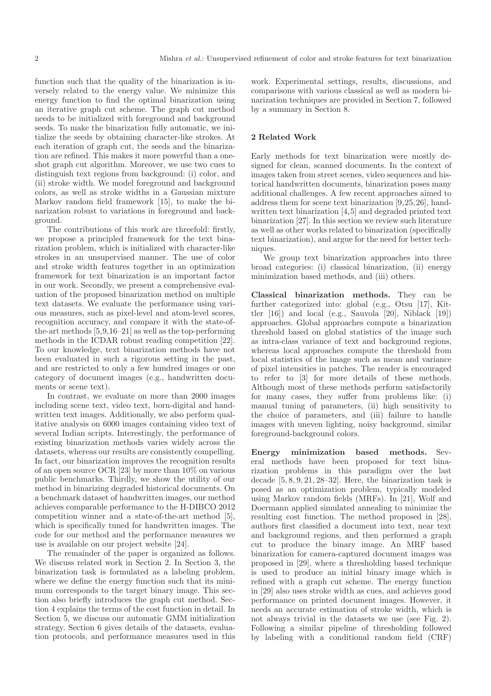function such that the quality of the binarization is inversely related to the energy value. We minimize this energy function to find the optimal binarization using an iterative graph cut scheme. The graph cut method needs to be initialized with foreground and background seeds. To make the binarization fully automatic, we initialize the seeds by obtaining character-like strokes. At each iteration of graph cut, the seeds and the binarization are refined. This makes it more powerful than a oneshot graph cut algorithm. Moreover, we use two cues to distinguish text regions from background: (i) color, and (ii) stroke width. We model foreground and background colors, as well as stroke widths in a Gaussian mixture Markov random field framework [15], to make the binarization robust to variations in foreground and background.

The contributions of this work are threefold: firstly, we propose a principled framework for the text binarization problem, which is initialized with character-like strokes in an unsupervised manner. The use of color and stroke width features together in an optimization framework for text binarization is an important factor in our work. Secondly, we present a comprehensive evaluation of the proposed binarization method on multiple text datasets. We evaluate the performance using various measures, such as pixel-level and atom-level scores, recognition accuracy, and compare it with the state-ofthe-art methods [5,9,16–21] as well as the top-performing methods in the ICDAR robust reading competition [22]. To our knowledge, text binarization methods have not been evaluated in such a rigorous setting in the past, and are restricted to only a few hundred images or one category of document images (e.g., handwritten documents or scene text).

In contrast, we evaluate on more than 2000 images including scene text, video text, born-digital and handwritten text images. Additionally, we also perform qualitative analysis on 6000 images containing video text of several Indian scripts. Interestingly, the performance of existing binarization methods varies widely across the datasets, whereas our results are consistently compelling. In fact, our binarization improves the recognition results of an open source OCR [23] by more than 10% on various public benchmarks. Thirdly, we show the utility of our method in binarizing degraded historical documents. On a benchmark dataset of handwritten images, our method achieves comparable performance to the H-DIBCO 2012 competition winner and a state-of-the-art method [5], which is specifically tuned for handwritten images. The code for our method and the performance measures we use is available on our project website [24].

The remainder of the paper is organized as follows. We discuss related work in Section 2. In Section 3, the binarization task is formulated as a labeling problem, where we define the energy function such that its minimum corresponds to the target binary image. This section also briefly introduces the graph cut method. Section 4 explains the terms of the cost function in detail. In Section 5, we discuss our automatic GMM initialization strategy. Section 6 gives details of the datasets, evaluation protocols, and performance measures used in this work. Experimental settings, results, discussions, and comparisons with various classical as well as modern binarization techniques are provided in Section 7, followed by a summary in Section 8.

#### 2 Related Work

Early methods for text binarization were mostly designed for clean, scanned documents. In the context of images taken from street scenes, video sequences and historical handwritten documents, binarization poses many additional challenges. A few recent approaches aimed to address them for scene text binarization [9,25,26], handwritten text binarization [4,5] and degraded printed text binarization [27]. In this section we review such literature as well as other works related to binarization (specifically text binarization), and argue for the need for better techniques.

We group text binarization approaches into three broad categories: (i) classical binarization, (ii) energy minimization based methods, and (iii) others.

Classical binarization methods. They can be further categorized into: global (e.g., Otsu [17], Kittler [16]) and local (e.g., Sauvola [20], Niblack [19]) approaches. Global approaches compute a binarization threshold based on global statistics of the image such as intra-class variance of text and background regions, whereas local approaches compute the threshold from local statistics of the image such as mean and variance of pixel intensities in patches. The reader is encouraged to refer to [3] for more details of these methods. Although most of these methods perform satisfactorily for many cases, they suffer from problems like: (i) manual tuning of parameters, (ii) high sensitivity to the choice of parameters, and (iii) failure to handle images with uneven lighting, noisy background, similar foreground-background colors.

Energy minimization based methods. Several methods have been proposed for text binarization problems in this paradigm over the last decade [5, 8, 9, 21, 28–32]. Here, the binarization task is posed as an optimization problem, typically modeled using Markov random fields (MRFs). In [21], Wolf and Doermann applied simulated annealing to minimize the resulting cost function. The method proposed in [28], authors first classified a document into text, near text and background regions, and then performed a graph cut to produce the binary image. An MRF based binarization for camera-captured document images was proposed in [29], where a thresholding based technique is used to produce an initial binary image which is refined with a graph cut scheme. The energy function in [29] also uses stroke width as cues, and achieves good performance on printed document images. However, it needs an accurate estimation of stroke width, which is not always trivial in the datasets we use (see Fig. 2). Following a similar pipeline of thresholding followed by labeling with a conditional random field (CRF)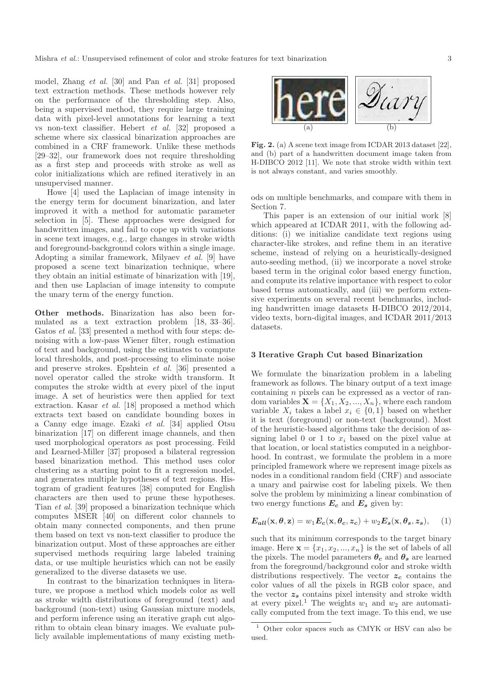model, Zhang et al. [30] and Pan et al. [31] proposed text extraction methods. These methods however rely on the performance of the thresholding step. Also, being a supervised method, they require large training data with pixel-level annotations for learning a text vs non-text classifier. Hebert et al. [32] proposed a scheme where six classical binarization approaches are combined in a CRF framework. Unlike these methods [29–32], our framework does not require thresholding as a first step and proceeds with stroke as well as color initializations which are refined iteratively in an unsupervised manner.

Howe [4] used the Laplacian of image intensity in the energy term for document binarization, and later improved it with a method for automatic parameter selection in [5]. These approaches were designed for handwritten images, and fail to cope up with variations in scene text images, e.g., large changes in stroke width and foreground-background colors within a single image. Adopting a similar framework, Milyaev et al. [9] have proposed a scene text binarization technique, where they obtain an initial estimate of binarization with [19], and then use Laplacian of image intensity to compute the unary term of the energy function.

Other methods. Binarization has also been formulated as a text extraction problem [18, 33–36]. Gatos et al. [33] presented a method with four steps: denoising with a low-pass Wiener filter, rough estimation of text and background, using the estimates to compute local thresholds, and post-processing to eliminate noise and preserve strokes. Epshtein et al. [36] presented a novel operator called the stroke width transform. It computes the stroke width at every pixel of the input image. A set of heuristics were then applied for text extraction. Kasar et al. [18] proposed a method which extracts text based on candidate bounding boxes in a Canny edge image. Ezaki et al. [34] applied Otsu binarization [17] on different image channels, and then used morphological operators as post processing. Feild and Learned-Miller [37] proposed a bilateral regression based binarization method. This method uses color clustering as a starting point to fit a regression model, and generates multiple hypotheses of text regions. Histogram of gradient features [38] computed for English characters are then used to prune these hypotheses. Tian et al. [39] proposed a binarization technique which computes MSER [40] on different color channels to obtain many connected components, and then prune them based on text vs non-text classifier to produce the binarization output. Most of these approaches are either supervised methods requiring large labeled training data, or use multiple heuristics which can not be easily generalized to the diverse datasets we use.

In contrast to the binarization techniques in literature, we propose a method which models color as well as stroke width distributions of foreground (text) and background (non-text) using Gaussian mixture models, and perform inference using an iterative graph cut algorithm to obtain clean binary images. We evaluate publicly available implementations of many existing meth-



Fig. 2. (a) A scene text image from ICDAR 2013 dataset [22], and (b) part of a handwritten document image taken from H-DIBCO 2012 [11]. We note that stroke width within text is not always constant, and varies smoothly.

ods on multiple benchmarks, and compare with them in Section 7.

This paper is an extension of our initial work [8] which appeared at ICDAR 2011, with the following additions: (i) we initialize candidate text regions using character-like strokes, and refine them in an iterative scheme, instead of relying on a heuristically-designed auto-seeding method, (ii) we incorporate a novel stroke based term in the original color based energy function, and compute its relative importance with respect to color based terms automatically, and (iii) we perform extensive experiments on several recent benchmarks, including handwritten image datasets H-DIBCO 2012/2014, video texts, born-digital images, and ICDAR 2011/2013 datasets.

#### 3 Iterative Graph Cut based Binarization

We formulate the binarization problem in a labeling framework as follows. The binary output of a text image containing n pixels can be expressed as a vector of random variables  $\mathbf{X} = \{X_1, X_2, ..., X_n\}$ , where each random variable  $X_i$  takes a label  $x_i \in \{0,1\}$  based on whether it is text (foreground) or non-text (background). Most of the heuristic-based algorithms take the decision of assigning label 0 or 1 to  $x_i$  based on the pixel value at that location, or local statistics computed in a neighborhood. In contrast, we formulate the problem in a more principled framework where we represent image pixels as nodes in a conditional random field (CRF) and associate a unary and pairwise cost for labeling pixels. We then solve the problem by minimizing a linear combination of two energy functions  $E_c$  and  $E_s$  given by:

$$
E_{all}(\mathbf{x}, \theta, \mathbf{z}) = w_1 E_c(\mathbf{x}, \theta_c, z_c) + w_2 E_s(\mathbf{x}, \theta_s, z_s), \quad (1)
$$

such that its minimum corresponds to the target binary image. Here  $\mathbf{x} = \{x_1, x_2, ..., x_n\}$  is the set of labels of all the pixels. The model parameters  $\theta_c$  and  $\theta_s$  are learned from the foreground/background color and stroke width distributions respectively. The vector  $z_c$  contains the color values of all the pixels in RGB color space, and the vector  $z_s$  contains pixel intensity and stroke width at every pixel.<sup>1</sup> The weights  $w_1$  and  $w_2$  are automatically computed from the text image. To this end, we use

 $^{\rm 1}$  Other color spaces such as CMYK or HSV can also be used.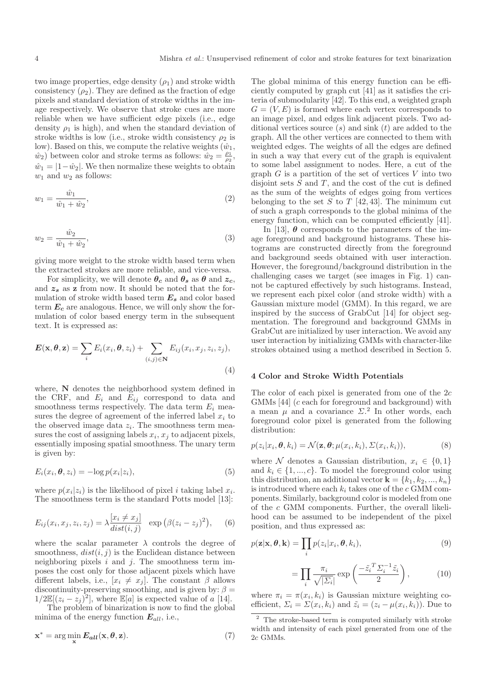two image properties, edge density  $(\rho_1)$  and stroke width consistency  $(\rho_2)$ . They are defined as the fraction of edge pixels and standard deviation of stroke widths in the image respectively. We observe that stroke cues are more reliable when we have sufficient edge pixels (i.e., edge density  $\rho_1$  is high), and when the standard deviation of stroke widths is low (i.e., stroke width consistency  $\rho_2$  is low). Based on this, we compute the relative weights  $(\hat{w}_1,$  $\hat{w}_2$  between color and stroke terms as follows:  $\hat{w}_2 = \frac{\rho_1}{\rho_2}$ ,  $\hat{w}_1 = |1-\hat{w}_2|$ . We then normalize these weights to obtain  $w_1$  and  $w_2$  as follows:

$$
w_1 = \frac{\hat{w}_1}{\hat{w}_1 + \hat{w}_2},\tag{2}
$$

$$
w_2 = \frac{\hat{w}_2}{\hat{w}_1 + \hat{w}_2},\tag{3}
$$

giving more weight to the stroke width based term when the extracted strokes are more reliable, and vice-versa.

For simplicity, we will denote  $\theta_c$  and  $\theta_s$  as  $\theta$  and  $z_c$ , and  $z_s$  as z from now. It should be noted that the formulation of stroke width based term  $\boldsymbol{E_{s}}$  and color based term  $E_c$  are analogous. Hence, we will only show the formulation of color based energy term in the subsequent text. It is expressed as:

$$
\boldsymbol{E}(\mathbf{x}, \boldsymbol{\theta}, \mathbf{z}) = \sum_{i} E_i(x_i, \boldsymbol{\theta}, z_i) + \sum_{(i,j) \in \mathbf{N}} E_{ij}(x_i, x_j, z_i, z_j),
$$
\n(4)

where, N denotes the neighborhood system defined in the CRF, and  $E_i$  and  $E_{ij}$  correspond to data and smoothness terms respectively. The data term  $E_i$  measures the degree of agreement of the inferred label  $x_i$  to the observed image data  $z_i$ . The smoothness term measures the cost of assigning labels  $x_i, x_j$  to adjacent pixels, essentially imposing spatial smoothness. The unary term is given by:

$$
E_i(x_i, \boldsymbol{\theta}, z_i) = -\log p(x_i|z_i), \qquad (5)
$$

where  $p(x_i|z_i)$  is the likelihood of pixel i taking label  $x_i$ . The smoothness term is the standard Potts model [13]:

$$
E_{ij}(x_i, x_j, z_i, z_j) = \lambda \frac{[x_i \neq x_j]}{dist(i,j)} \exp\left(\beta(z_i - z_j)^2\right), \quad (6)
$$

where the scalar parameter  $\lambda$  controls the degree of smoothness,  $dist(i, j)$  is the Euclidean distance between neighboring pixels  $i$  and  $j$ . The smoothness term imposes the cost only for those adjacent pixels which have different labels, i.e.,  $[x_i \neq x_j]$ . The constant  $\beta$  allows discontinuity-preserving smoothing, and is given by:  $\beta =$  $1/2\mathbb{E}[(z_i-z_j)^2]$ , where  $\mathbb{E}[a]$  is expected value of a [14].

The problem of binarization is now to find the global minima of the energy function  $E_{all}$ , i.e.,

$$
\mathbf{x}^* = \arg\min_{\mathbf{x}} E_{all}(\mathbf{x}, \theta, \mathbf{z}).
$$
 (7)

The global minima of this energy function can be efficiently computed by graph cut [41] as it satisfies the criteria of submodularity [42]. To this end, a weighted graph  $G = (V, E)$  is formed where each vertex corresponds to an image pixel, and edges link adjacent pixels. Two additional vertices source  $(s)$  and sink  $(t)$  are added to the graph. All the other vertices are connected to them with weighted edges. The weights of all the edges are defined in such a way that every cut of the graph is equivalent to some label assignment to nodes. Here, a cut of the graph  $G$  is a partition of the set of vertices  $V$  into two disjoint sets  $S$  and  $T$ , and the cost of the cut is defined as the sum of the weights of edges going from vertices belonging to the set S to T [42, 43]. The minimum cut of such a graph corresponds to the global minima of the energy function, which can be computed efficiently [41].

In [13],  $\theta$  corresponds to the parameters of the image foreground and background histograms. These histograms are constructed directly from the foreground and background seeds obtained with user interaction. However, the foreground/background distribution in the challenging cases we target (see images in Fig. 1) cannot be captured effectively by such histograms. Instead, we represent each pixel color (and stroke width) with a Gaussian mixture model (GMM). In this regard, we are inspired by the success of GrabCut [14] for object segmentation. The foreground and background GMMs in GrabCut are initialized by user interaction. We avoid any user interaction by initializing GMMs with character-like strokes obtained using a method described in Section 5.

# 4 Color and Stroke Width Potentials

The color of each pixel is generated from one of the  $2c$ GMMs [44] (c each for foreground and background) with a mean  $\mu$  and a covariance  $\Sigma$ <sup>2</sup>. In other words, each foreground color pixel is generated from the following distribution:

$$
p(z_i|x_i, \boldsymbol{\theta}, k_i) = \mathcal{N}(\mathbf{z}, \boldsymbol{\theta}; \mu(x_i, k_i), \Sigma(x_i, k_i)),
$$
\n(8)

where N denotes a Gaussian distribution,  $x_i \in \{0, 1\}$ and  $k_i \in \{1, ..., c\}$ . To model the foreground color using this distribution, an additional vector  $\mathbf{k} = \{k_1, k_2, ..., k_n\}$ is introduced where each  $k_i$  takes one of the c GMM components. Similarly, background color is modeled from one of the c GMM components. Further, the overall likelihood can be assumed to be independent of the pixel position, and thus expressed as:

$$
p(\mathbf{z}|\mathbf{x}, \boldsymbol{\theta}, \mathbf{k}) = \prod_{i} p(z_i|x_i, \boldsymbol{\theta}, k_i),
$$
\n(9)

$$
= \prod_{i} \frac{\pi_i}{\sqrt{|\Sigma_i|}} \exp\left(\frac{-\tilde{z_i}^T \Sigma_i^{-1} \tilde{z_i}}{2}\right),\tag{10}
$$

where  $\pi_i = \pi(x_i, k_i)$  is Gaussian mixture weighting coefficient,  $\Sigma_i = \Sigma(x_i, k_i)$  and  $\tilde{z}_i = (z_i - \mu(x_i, k_i))$ . Due to

<sup>2</sup> The stroke-based term is computed similarly with stroke width and intensity of each pixel generated from one of the 2c GMMs.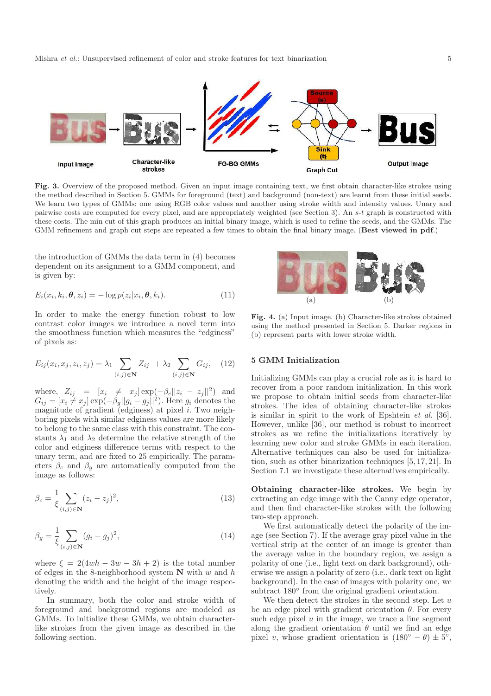

Fig. 3. Overview of the proposed method. Given an input image containing text, we first obtain character-like strokes using the method described in Section 5. GMMs for foreground (text) and background (non-text) are learnt from these initial seeds. We learn two types of GMMs: one using RGB color values and another using stroke width and intensity values. Unary and pairwise costs are computed for every pixel, and are appropriately weighted (see Section 3). An s-t graph is constructed with these costs. The min cut of this graph produces an initial binary image, which is used to refine the seeds, and the GMMs. The GMM refinement and graph cut steps are repeated a few times to obtain the final binary image. (Best viewed in pdf.)

the introduction of GMMs the data term in (4) becomes dependent on its assignment to a GMM component, and is given by:

$$
E_i(x_i, k_i, \boldsymbol{\theta}, z_i) = -\log p(z_i | x_i, \boldsymbol{\theta}, k_i). \tag{11}
$$

In order to make the energy function robust to low contrast color images we introduce a novel term into the smoothness function which measures the "edginess" of pixels as:

$$
E_{ij}(x_i, x_j, z_i, z_j) = \lambda_1 \sum_{(i,j) \in \mathbf{N}} Z_{ij} + \lambda_2 \sum_{(i,j) \in \mathbf{N}} G_{ij}, \quad (12)
$$

where,  $Z_{ij} = [x_i \neq x_j] \exp(-\beta_c ||z_i - z_j||^2)$  and  $G_{ij} = [x_i \neq x_j] \exp(-\beta_g ||g_i - g_j||^2)$ . Here  $g_i$  denotes the magnitude of gradient  $\overline{(\text{edges})}$  at pixel *i*. Two neighboring pixels with similar edginess values are more likely to belong to the same class with this constraint. The constants  $\lambda_1$  and  $\lambda_2$  determine the relative strength of the color and edginess difference terms with respect to the unary term, and are fixed to 25 empirically. The parameters  $\beta_c$  and  $\beta_q$  are automatically computed from the image as follows:

$$
\beta_c = \frac{1}{\xi} \sum_{(i,j) \in \mathbf{N}} (z_i - z_j)^2,
$$
\n(13)

$$
\beta_g = \frac{1}{\xi} \sum_{(i,j) \in \mathbf{N}} (g_i - g_j)^2,
$$
\n(14)

where  $\xi = 2(4wh - 3w - 3h + 2)$  is the total number of edges in the 8-neighborhood system  $N$  with w and h denoting the width and the height of the image respectively.

In summary, both the color and stroke width of foreground and background regions are modeled as GMMs. To initialize these GMMs, we obtain characterlike strokes from the given image as described in the following section.



Fig. 4. (a) Input image. (b) Character-like strokes obtained using the method presented in Section 5. Darker regions in (b) represent parts with lower stroke width.

# 5 GMM Initialization

Initializing GMMs can play a crucial role as it is hard to recover from a poor random initialization. In this work we propose to obtain initial seeds from character-like strokes. The idea of obtaining character-like strokes is similar in spirit to the work of Epshtein et al. [36]. However, unlike [36], our method is robust to incorrect strokes as we refine the initializations iteratively by learning new color and stroke GMMs in each iteration. Alternative techniques can also be used for initialization, such as other binarization techniques [5, 17, 21]. In Section 7.1 we investigate these alternatives empirically.

Obtaining character-like strokes. We begin by extracting an edge image with the Canny edge operator, and then find character-like strokes with the following two-step approach.

We first automatically detect the polarity of the image (see Section 7). If the average gray pixel value in the vertical strip at the center of an image is greater than the average value in the boundary region, we assign a polarity of one (i.e., light text on dark background), otherwise we assign a polarity of zero (i.e., dark text on light background). In the case of images with polarity one, we subtract  $180^{\circ}$  from the original gradient orientation.

We then detect the strokes in the second step. Let  $u$ be an edge pixel with gradient orientation  $\theta$ . For every such edge pixel  $u$  in the image, we trace a line segment along the gradient orientation  $\theta$  until we find an edge pixel v, whose gradient orientation is  $(180^{\circ} - \theta) \pm 5^{\circ}$ ,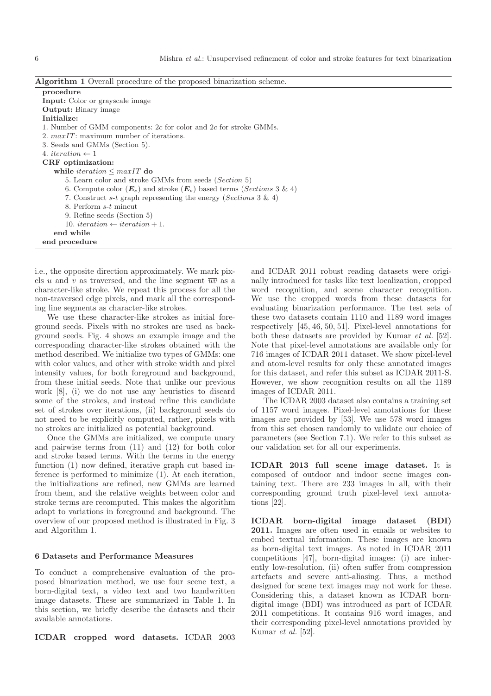| Algorithm 1 Overall procedure of the proposed binarization scheme. |  |
|--------------------------------------------------------------------|--|
|--------------------------------------------------------------------|--|

| procedure                                                                        |
|----------------------------------------------------------------------------------|
| <b>Input:</b> Color or grayscale image                                           |
| <b>Output:</b> Binary image                                                      |
| Initialize:                                                                      |
| 1. Number of GMM components: $2c$ for color and $2c$ for stroke GMMs.            |
| 2. $maxIT$ : maximum number of iterations.                                       |
| 3. Seeds and GMMs (Section 5).                                                   |
| 4. <i>iteration</i> $\leftarrow$ 1                                               |
| CRF optimization:                                                                |
| while <i>iteration</i> $\leq$ maxIT do                                           |
| 5. Learn color and stroke GMMs from seeds (Section 5)                            |
| 6. Compute color $(E_c)$ and stroke $(E_s)$ based terms ( <i>Sections</i> 3 & 4) |
| 7. Construct s-t graph representing the energy (Sections 3 & 4)                  |
| 8. Perform s-t mincut                                                            |
| 9. Refine seeds (Section 5)                                                      |
| 10. <i>iteration</i> $\leftarrow$ <i>iteration</i> + 1.                          |
| end while                                                                        |
| end procedure                                                                    |
|                                                                                  |

i.e., the opposite direction approximately. We mark pixels u and v as traversed, and the line segment  $\overline{uv}$  as a character-like stroke. We repeat this process for all the non-traversed edge pixels, and mark all the corresponding line segments as character-like strokes.

We use these character-like strokes as initial foreground seeds. Pixels with no strokes are used as background seeds. Fig. 4 shows an example image and the corresponding character-like strokes obtained with the method described. We initialize two types of GMMs: one with color values, and other with stroke width and pixel intensity values, for both foreground and background, from these initial seeds. Note that unlike our previous work [8], (i) we do not use any heuristics to discard some of the strokes, and instead refine this candidate set of strokes over iterations, (ii) background seeds do not need to be explicitly computed, rather, pixels with no strokes are initialized as potential background.

Once the GMMs are initialized, we compute unary and pairwise terms from (11) and (12) for both color and stroke based terms. With the terms in the energy function (1) now defined, iterative graph cut based inference is performed to minimize (1). At each iteration, the initializations are refined, new GMMs are learned from them, and the relative weights between color and stroke terms are recomputed. This makes the algorithm adapt to variations in foreground and background. The overview of our proposed method is illustrated in Fig. 3 and Algorithm 1.

#### 6 Datasets and Performance Measures

To conduct a comprehensive evaluation of the proposed binarization method, we use four scene text, a born-digital text, a video text and two handwritten image datasets. These are summarized in Table 1. In this section, we briefly describe the datasets and their available annotations.

ICDAR cropped word datasets. ICDAR 2003

and ICDAR 2011 robust reading datasets were originally introduced for tasks like text localization, cropped word recognition, and scene character recognition. We use the cropped words from these datasets for evaluating binarization performance. The test sets of these two datasets contain 1110 and 1189 word images respectively [45, 46, 50, 51]. Pixel-level annotations for both these datasets are provided by Kumar et al. [52]. Note that pixel-level annotations are available only for 716 images of ICDAR 2011 dataset. We show pixel-level and atom-level results for only these annotated images for this dataset, and refer this subset as ICDAR 2011-S. However, we show recognition results on all the 1189 images of ICDAR 2011.

The ICDAR 2003 dataset also contains a training set of 1157 word images. Pixel-level annotations for these images are provided by [53]. We use 578 word images from this set chosen randomly to validate our choice of parameters (see Section 7.1). We refer to this subset as our validation set for all our experiments.

ICDAR 2013 full scene image dataset. It is composed of outdoor and indoor scene images containing text. There are 233 images in all, with their corresponding ground truth pixel-level text annotations [22].

ICDAR born-digital image dataset (BDI) 2011. Images are often used in emails or websites to embed textual information. These images are known as born-digital text images. As noted in ICDAR 2011 competitions [47], born-digital images: (i) are inherently low-resolution, (ii) often suffer from compression artefacts and severe anti-aliasing. Thus, a method designed for scene text images may not work for these. Considering this, a dataset known as ICDAR borndigital image (BDI) was introduced as part of ICDAR 2011 competitions. It contains 916 word images, and their corresponding pixel-level annotations provided by Kumar et al. [52].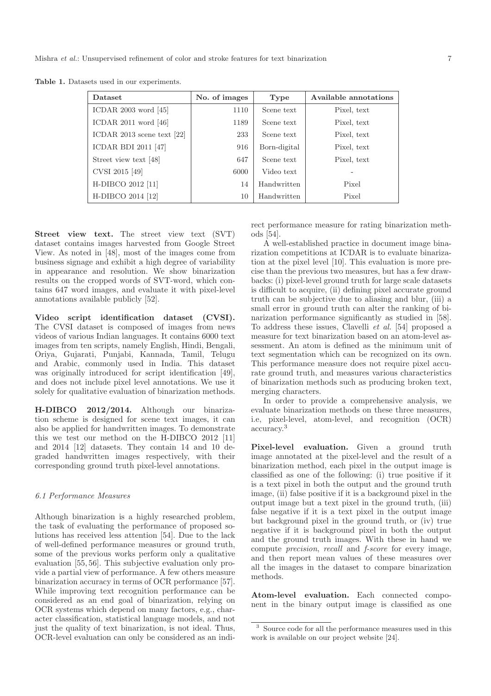| Dataset                      | No. of images | Type         | Available annotations |
|------------------------------|---------------|--------------|-----------------------|
| ICDAR 2003 word $[45]$       | 1110          | Scene text   | Pixel, text           |
| ICDAR $2011$ word $[46]$     | 1189          | Scene text   | Pixel, text           |
| ICDAR 2013 scene text $[22]$ | 233           | Scene text   | Pixel, text           |
| <b>ICDAR BDI 2011 [47]</b>   | 916           | Born-digital | Pixel, text           |
| Street view text [48]        | 647           | Scene text   | Pixel, text           |
| CVSI 2015 [49]               | 6000          | Video text   |                       |
| H-DIBCO 2012 [11]            | 14            | Handwritten  | Pixel                 |
| H-DIBCO 2014 [12]            | 10            | Handwritten  | Pixel                 |

Table 1. Datasets used in our experiments.

Street view text. The street view text (SVT) dataset contains images harvested from Google Street View. As noted in [48], most of the images come from business signage and exhibit a high degree of variability in appearance and resolution. We show binarization results on the cropped words of SVT-word, which contains 647 word images, and evaluate it with pixel-level annotations available publicly [52].

Video script identification dataset (CVSI). The CVSI dataset is composed of images from news videos of various Indian languages. It contains 6000 text images from ten scripts, namely English, Hindi, Bengali, Oriya, Gujarati, Punjabi, Kannada, Tamil, Telugu and Arabic, commonly used in India. This dataset was originally introduced for script identification [49], and does not include pixel level annotations. We use it solely for qualitative evaluation of binarization methods.

H-DIBCO 2012/2014. Although our binarization scheme is designed for scene text images, it can also be applied for handwritten images. To demonstrate this we test our method on the H-DIBCO 2012 [11] and 2014 [12] datasets. They contain 14 and 10 degraded handwritten images respectively, with their corresponding ground truth pixel-level annotations.

### 6.1 Performance Measures

Although binarization is a highly researched problem, the task of evaluating the performance of proposed solutions has received less attention [54]. Due to the lack of well-defined performance measures or ground truth, some of the previous works perform only a qualitative evaluation [55, 56]. This subjective evaluation only provide a partial view of performance. A few others measure binarization accuracy in terms of OCR performance [57]. While improving text recognition performance can be considered as an end goal of binarization, relying on OCR systems which depend on many factors, e.g., character classification, statistical language models, and not just the quality of text binarization, is not ideal. Thus, OCR-level evaluation can only be considered as an indirect performance measure for rating binarization methods [54].

A well-established practice in document image binarization competitions at ICDAR is to evaluate binarization at the pixel level [10]. This evaluation is more precise than the previous two measures, but has a few drawbacks: (i) pixel-level ground truth for large scale datasets is difficult to acquire, (ii) defining pixel accurate ground truth can be subjective due to aliasing and blur, (iii) a small error in ground truth can alter the ranking of binarization performance significantly as studied in [58]. To address these issues, Clavelli et al. [54] proposed a measure for text binarization based on an atom-level assessment. An atom is defined as the minimum unit of text segmentation which can be recognized on its own. This performance measure does not require pixel accurate ground truth, and measures various characteristics of binarization methods such as producing broken text, merging characters.

In order to provide a comprehensive analysis, we evaluate binarization methods on these three measures, i.e, pixel-level, atom-level, and recognition (OCR) accuracy.<sup>3</sup>

Pixel-level evaluation. Given a ground truth image annotated at the pixel-level and the result of a binarization method, each pixel in the output image is classified as one of the following: (i) true positive if it is a text pixel in both the output and the ground truth image, (ii) false positive if it is a background pixel in the output image but a text pixel in the ground truth, (iii) false negative if it is a text pixel in the output image but background pixel in the ground truth, or (iv) true negative if it is background pixel in both the output and the ground truth images. With these in hand we compute precision, recall and f-score for every image, and then report mean values of these measures over all the images in the dataset to compare binarization methods.

Atom-level evaluation. Each connected component in the binary output image is classified as one

<sup>3</sup> Source code for all the performance measures used in this work is available on our project website [24].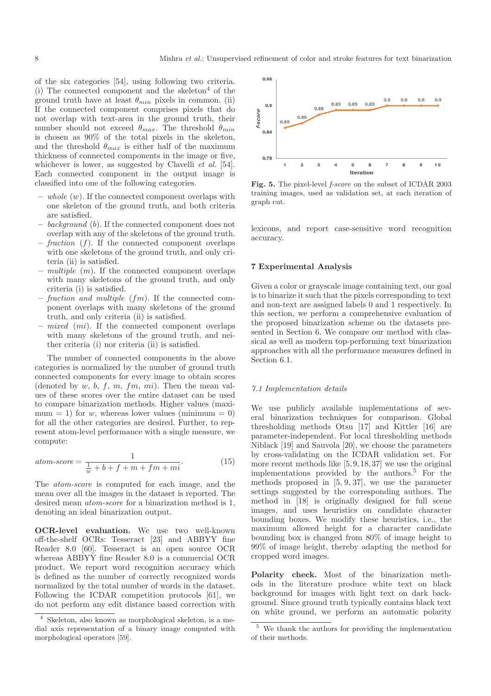of the six categories [54], using following two criteria. (i) The connected component and the skeleton<sup>4</sup> of the ground truth have at least  $\theta_{min}$  pixels in common. (ii) If the connected component comprises pixels that do not overlap with text-area in the ground truth, their number should not exceed  $\theta_{max}$ . The threshold  $\theta_{min}$ is chosen as 90% of the total pixels in the skeleton, and the threshold  $\theta_{max}$  is either half of the maximum thickness of connected components in the image or five, whichever is lower, as suggested by Clavelli *et al.* [54]. Each connected component in the output image is classified into one of the following categories.

- $-$  whole  $(w)$ . If the connected component overlaps with one skeleton of the ground truth, and both criteria are satisfied.
- $background (b)$ . If the connected component does not overlap with any of the skeletons of the ground truth.
- $-$  fraction (f). If the connected component overlaps with one skeletons of the ground truth, and only criteria (ii) is satisfied.
- $-$  multiple  $(m)$ . If the connected component overlaps with many skeletons of the ground truth, and only criteria (i) is satisfied.
- fraction and multiple  $(fm)$ . If the connected component overlaps with many skeletons of the ground truth, and only criteria (ii) is satisfied.
- $-$  mixed (mi). If the connected component overlaps with many skeletons of the ground truth, and neither criteria (i) nor criteria (ii) is satisfied.

The number of connected components in the above categories is normalized by the number of ground truth connected components for every image to obtain scores (denoted by  $w, b, f, m, fm, mi$ ). Then the mean values of these scores over the entire dataset can be used to compare binarization methods. Higher values (maximum = 1) for w, whereas lower values (minimum = 0) for all the other categories are desired. Further, to represent atom-level performance with a single measure, we compute:

$$
atom\text{-}score = \frac{1}{\frac{1}{w} + b + f + m + fm + mi}.\tag{15}
$$

The atom-score is computed for each image, and the mean over all the images in the dataset is reported. The desired mean atom-score for a binarization method is 1, denoting an ideal binarization output.

OCR-level evaluation. We use two well-known off-the-shelf OCRs: Tesseract [23] and ABBYY fine Reader 8.0 [60]. Tesseract is an open source OCR whereas ABBYY fine Reader 8.0 is a commercial OCR product. We report word recognition accuracy which is defined as the number of correctly recognized words normalized by the total number of words in the dataset. Following the ICDAR competition protocols [61], we do not perform any edit distance based correction with



Fig. 5. The pixel-level *f-score* on the subset of ICDAR 2003 training images, used as validation set, at each iteration of graph cut.

lexicons, and report case-sensitive word recognition accuracy.

#### 7 Experimental Analysis

Given a color or grayscale image containing text, our goal is to binarize it such that the pixels corresponding to text and non-text are assigned labels 0 and 1 respectively. In this section, we perform a comprehensive evaluation of the proposed binarization scheme on the datasets presented in Section 6. We compare our method with classical as well as modern top-performing text binarization approaches with all the performance measures defined in Section 6.1.

#### 7.1 Implementation details

We use publicly available implementations of several binarization techniques for comparison. Global thresholding methods Otsu [17] and Kittler [16] are parameter-independent. For local thresholding methods Niblack [19] and Sauvola [20], we choose the parameters by cross-validating on the ICDAR validation set. For more recent methods like  $[5, 9, 18, 37]$  we use the original implementations provided by the authors.<sup>5</sup> For the methods proposed in [5, 9, 37], we use the parameter settings suggested by the corresponding authors. The method in [18] is originally designed for full scene images, and uses heuristics on candidate character bounding boxes. We modify these heuristics, i.e., the maximum allowed height for a character candidate bounding box is changed from 80% of image height to 99% of image height, thereby adapting the method for cropped word images.

Polarity check. Most of the binarization methods in the literature produce white text on black background for images with light text on dark background. Since ground truth typically contains black text on white ground, we perform an automatic polarity

<sup>4</sup> Skeleton, also known as morphological skeleton, is a medial axis representation of a binary image computed with morphological operators [59].

<sup>5</sup> We thank the authors for providing the implementation of their methods.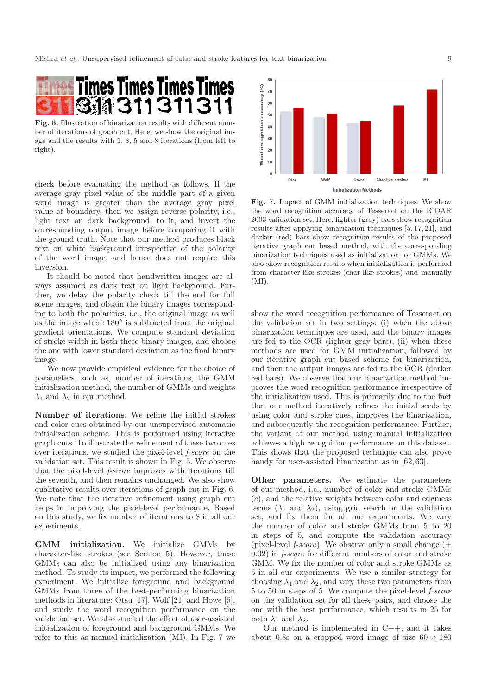

Fig. 6. Illustration of binarization results with different number of iterations of graph cut. Here, we show the original image and the results with 1, 3, 5 and 8 iterations (from left to right).

check before evaluating the method as follows. If the average gray pixel value of the middle part of a given word image is greater than the average gray pixel value of boundary, then we assign reverse polarity, i.e., light text on dark background, to it, and invert the corresponding output image before comparing it with the ground truth. Note that our method produces black text on white background irrespective of the polarity of the word image, and hence does not require this inversion.

It should be noted that handwritten images are always assumed as dark text on light background. Further, we delay the polarity check till the end for full scene images, and obtain the binary images corresponding to both the polarities, i.e., the original image as well as the image where 180◦ is subtracted from the original gradient orientations. We compute standard deviation of stroke width in both these binary images, and choose the one with lower standard deviation as the final binary image.

We now provide empirical evidence for the choice of parameters, such as, number of iterations, the GMM initialization method, the number of GMMs and weights  $\lambda_1$  and  $\lambda_2$  in our method.

Number of iterations. We refine the initial strokes and color cues obtained by our unsupervised automatic initialization scheme. This is performed using iterative graph cuts. To illustrate the refinement of these two cues over iterations, we studied the pixel-level f-score on the validation set. This result is shown in Fig. 5. We observe that the pixel-level f-score improves with iterations till the seventh, and then remains unchanged. We also show qualitative results over iterations of graph cut in Fig. 6. We note that the iterative refinement using graph cut helps in improving the pixel-level performance. Based on this study, we fix number of iterations to 8 in all our experiments.

GMM initialization. We initialize GMMs by character-like strokes (see Section 5). However, these GMMs can also be initialized using any binarization method. To study its impact, we performed the following experiment. We initialize foreground and background GMMs from three of the best-performing binarization methods in literature: Otsu [17], Wolf [21] and Howe [5], and study the word recognition performance on the validation set. We also studied the effect of user-assisted initialization of foreground and background GMMs. We refer to this as manual initialization (MI). In Fig. 7 we



Fig. 7. Impact of GMM initialization techniques. We show the word recognition accuracy of Tesseract on the ICDAR 2003 validation set. Here, lighter (gray) bars show recognition results after applying binarization techniques [5, 17, 21], and darker (red) bars show recognition results of the proposed iterative graph cut based method, with the corresponding binarization techniques used as initialization for GMMs. We also show recognition results when initialization is performed from character-like strokes (char-like strokes) and manually (MI).

show the word recognition performance of Tesseract on the validation set in two settings: (i) when the above binarization techniques are used, and the binary images are fed to the OCR (lighter gray bars), (ii) when these methods are used for GMM initialization, followed by our iterative graph cut based scheme for binarization, and then the output images are fed to the OCR (darker red bars). We observe that our binarization method improves the word recognition performance irrespective of the initialization used. This is primarily due to the fact that our method iteratively refines the initial seeds by using color and stroke cues, improves the binarization, and subsequently the recognition performance. Further, the variant of our method using manual initialization achieves a high recognition performance on this dataset. This shows that the proposed technique can also prove handy for user-assisted binarization as in  $[62, 63]$ .

Other parameters. We estimate the parameters of our method, i.e., number of color and stroke GMMs (c), and the relative weights between color and edginess terms  $(\lambda_1$  and  $\lambda_2)$ , using grid search on the validation set, and fix them for all our experiments. We vary the number of color and stroke GMMs from 5 to 20 in steps of 5, and compute the validation accuracy (pixel-level *f-score*). We observe only a small change  $(\pm$ 0.02) in f-score for different numbers of color and stroke GMM. We fix the number of color and stroke GMMs as 5 in all our experiments. We use a similar strategy for choosing  $\lambda_1$  and  $\lambda_2$ , and vary these two parameters from 5 to 50 in steps of 5. We compute the pixel-level f-score on the validation set for all these pairs, and choose the one with the best performance, which results in 25 for both  $\lambda_1$  and  $\lambda_2$ .

Our method is implemented in C++, and it takes about 0.8s on a cropped word image of size  $60 \times 180$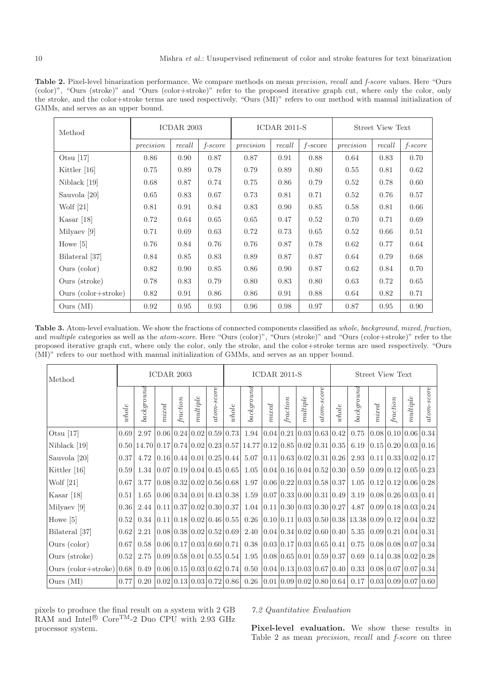Table 2. Pixel-level binarization performance. We compare methods on mean *precision*, *recall* and *f-score* values. Here "Ours (color)", "Ours (stroke)" and "Ours (color+stroke)" refer to the proposed iterative graph cut, where only the color, only the stroke, and the color+stroke terms are used respectively. "Ours (MI)" refers to our method with manual initialization of GMMs, and serves as an upper bound.

| Method                       | ICDAR 2003 |          |                  |           |          | $ICDAR$ 2011-S | <b>Street View Text</b> |        |                  |  |
|------------------------------|------------|----------|------------------|-----------|----------|----------------|-------------------------|--------|------------------|--|
|                              | precision  | $recall$ | $f\text{-}score$ | precision | $recall$ | $f$ -score     | precision               | recall | $f\text{-}score$ |  |
| Otsu $[17]$                  | 0.86       | 0.90     | 0.87             | 0.87      | 0.91     | 0.88           | 0.64                    | 0.83   | 0.70             |  |
| Kittler $[16]$               | 0.75       | 0.89     | 0.78             | 0.79      | 0.89     | 0.80           | 0.55                    | 0.81   | 0.62             |  |
| Niblack [19]                 | 0.68       | 0.87     | 0.74             | 0.75      | 0.86     | 0.79           | 0.52                    | 0.78   | 0.60             |  |
| Sauvola [20]                 | 0.65       | 0.83     | 0.67             | 0.73      | 0.81     | 0.71           | 0.52                    | 0.76   | 0.57             |  |
| Wolf $[21]$                  | 0.81       | 0.91     | 0.84             | 0.83      | 0.90     | 0.85           | 0.58                    | 0.81   | 0.66             |  |
| Kasar $[18]$                 | 0.72       | 0.64     | 0.65             | 0.65      | 0.47     | 0.52           | 0.70                    | 0.71   | 0.69             |  |
| Milyaev [9]                  | 0.71       | 0.69     | 0.63             | 0.72      | 0.73     | 0.65           | 0.52                    | 0.66   | 0.51             |  |
| Howe $[5]$                   | 0.76       | 0.84     | 0.76             | 0.76      | 0.87     | 0.78           | 0.62                    | 0.77   | 0.64             |  |
| Bilateral [37]               | 0.84       | 0.85     | 0.83             | 0.89      | 0.87     | 0.87           | 0.64                    | 0.79   | 0.68             |  |
| Ours (color)                 | 0.82       | 0.90     | 0.85             | 0.86      | 0.90     | 0.87           | 0.62                    | 0.84   | 0.70             |  |
| Ours (stroke)                | 0.78       | 0.83     | 0.79             | 0.80      | 0.83     | 0.80           | 0.63                    | 0.72   | 0.65             |  |
| Ours $\text{(color+stroke)}$ | 0.82       | 0.91     | 0.86             | 0.86      | 0.91     | 0.88           | 0.64                    | 0.82   | 0.71             |  |
| Ours (MI)                    | 0.92       | 0.95     | 0.93             | 0.96      | 0.98     | 0.97           | 0.87                    | 0.95   | 0.90             |  |

Table 3. Atom-level evaluation. We show the fractions of connected components classified as *whole*, *background*, *mixed*, *fraction*, and *multiple* categories as well as the *atom-score*. Here "Ours (color)", "Ours (stroke)" and "Ours (color+stroke)" refer to the proposed iterative graph cut, where only the color, only the stroke, and the color+stroke terms are used respectively. "Ours (MI)" refers to our method with manual initialization of GMMs, and serves as an upper bound.

| Method                                                   | ICDAR 2003 |                                                                                                                                                                                    |                                                               |          |          | $ICDAR$ 2011-S        |       |                                                                                                                                                                                             |       | Street View Text |          |                   |         |                                                                                                            |                     |          |          |            |
|----------------------------------------------------------|------------|------------------------------------------------------------------------------------------------------------------------------------------------------------------------------------|---------------------------------------------------------------|----------|----------|-----------------------|-------|---------------------------------------------------------------------------------------------------------------------------------------------------------------------------------------------|-------|------------------|----------|-------------------|---------|------------------------------------------------------------------------------------------------------------|---------------------|----------|----------|------------|
|                                                          | whole      | background                                                                                                                                                                         | mixed                                                         | fraction | multiple | $^{tom\text{-}score}$ | whole | background                                                                                                                                                                                  | mixed | fraction         | multiple | <i>atom-score</i> | $whole$ | background                                                                                                 | mixed               | fraction | nultiple | atom-score |
| Otsu $[17]$                                              | 0.69       | 2.97 $ 0.06 0.24 0.02 0.59 0.73 $                                                                                                                                                  |                                                               |          |          |                       |       |                                                                                                                                                                                             |       |                  |          |                   |         | $1.94 \mid 0.04 \mid 0.21 \mid 0.03 \mid 0.63 \mid 0.42 \mid 0.75$                                         | 0.08 0.10 0.06 0.34 |          |          |            |
| Niblack [19]                                             |            | $0.50 \mid 14.70 \mid 0.17 \mid 0.74 \mid 0.02 \mid 0.23 \mid 0.57 \mid 14.77 \mid 0.12 \mid 0.85 \mid 0.02 \mid 0.31 \mid 0.35 \mid 6.19 \mid 0.15 \mid 0.20 \mid 0.03 \mid 0.16$ |                                                               |          |          |                       |       |                                                                                                                                                                                             |       |                  |          |                   |         |                                                                                                            |                     |          |          |            |
| Sauvola [20]                                             | 0.37       |                                                                                                                                                                                    |                                                               |          |          |                       |       | $4.72$  0.16  0.44  0.01  0.25  0.44   5.07  0.11  0.63  0.02  0.31  0.26   2.93  0.11  0.33  0.02  0.17                                                                                    |       |                  |          |                   |         |                                                                                                            |                     |          |          |            |
| Kittler [16]                                             | 0.59       | 1.34 $ 0.07 0.19 0.04 0.45 0.65 $                                                                                                                                                  |                                                               |          |          |                       |       |                                                                                                                                                                                             |       |                  |          |                   |         | $1.05 \mid 0.04 \mid 0.16 \mid 0.04 \mid 0.52 \mid 0.30 \mid 0.59 \mid 0.09 \mid 0.12 \mid 0.05 \mid 0.23$ |                     |          |          |            |
| Wolf $[21]$                                              | 0.67       | 3.77                                                                                                                                                                               | $\left 0.08\right 0.32\left 0.02\right 0.56\left 0.68\right $ |          |          |                       |       |                                                                                                                                                                                             |       |                  |          |                   |         | $1.97 \mid 0.06 \mid 0.22 \mid 0.03 \mid 0.58 \mid 0.37 \mid 1.05 \mid 0.12 \mid 0.12 \mid 0.06 \mid 0.28$ |                     |          |          |            |
| Kasar $[18]$                                             | 0.51       | $1.65 \mid 0.06 \mid 0.34 \mid 0.01 \mid 0.43 \mid 0.38 \mid$                                                                                                                      |                                                               |          |          |                       |       |                                                                                                                                                                                             |       |                  |          |                   |         | $1.59 \mid 0.07 \mid 0.33 \mid 0.00 \mid 0.31 \mid 0.49 \mid 3.19 \mid 0.08 \mid 0.26 \mid 0.03 \mid 0.41$ |                     |          |          |            |
| Milyaev [9]                                              | 0.36       | 2.44 $ 0.11 0.37 0.02 0.30 0.37 $                                                                                                                                                  |                                                               |          |          |                       |       |                                                                                                                                                                                             |       |                  |          |                   |         | $1.04 \mid 0.11 \mid 0.30 \mid 0.03 \mid 0.30 \mid 0.27 \mid 4.87 \mid 0.09 \mid 0.18 \mid 0.03 \mid 0.24$ |                     |          |          |            |
| Howe $[5]$                                               | 0.52       |                                                                                                                                                                                    |                                                               |          |          |                       |       | $0.34 \mid 0.11 \mid 0.18 \mid 0.02 \mid 0.46 \mid 0.55 \mid 0.26 \mid 0.10 \mid 0.11 \mid 0.03 \mid 0.50 \mid 0.38 \mid 13.38 \mid 0.09 \mid 0.12 \mid 0.04 \mid 0.32$                     |       |                  |          |                   |         |                                                                                                            |                     |          |          |            |
| Bilateral [37]                                           | 0.62       | 2.21                                                                                                                                                                               |                                                               |          |          |                       |       |                                                                                                                                                                                             |       |                  |          |                   |         |                                                                                                            |                     |          |          |            |
| Ours (color)                                             | 0.67       | $0.58 \mid 0.06 \mid 0.17 \mid 0.03 \mid 0.60 \mid 0.71 \mid$                                                                                                                      |                                                               |          |          |                       |       |                                                                                                                                                                                             |       |                  |          |                   |         | $0.38 \mid 0.03 \mid 0.17 \mid 0.03 \mid 0.65 \mid 0.41 \mid 0.75 \mid 0.08 \mid 0.08 \mid 0.07 \mid 0.34$ |                     |          |          |            |
| Ours (stroke)                                            | 0.52       | 2.75                                                                                                                                                                               |                                                               |          |          |                       |       | $(0.09 0.58 0.01 0.55 0.54 1.95 0.08 0.65 0.01 0.59 0.37 0.69 0.14 0.38 0.02 0.28)$                                                                                                         |       |                  |          |                   |         |                                                                                                            |                     |          |          |            |
| Ours $\left(\text{color+stroke}\right)\left 0.68\right $ |            | 0.49                                                                                                                                                                               |                                                               |          |          |                       |       | $(0.06 \times 0.03 \times 0.03 \times 0.62 \times 0.74 \times 0.50 \times 0.04 \times 0.03 \times 0.03 \times 0.67 \times 0.40 \times 0.33 \times 0.08 \times 0.07 \times 0.07 \times 0.34$ |       |                  |          |                   |         |                                                                                                            |                     |          |          |            |
| Ours (MI)                                                | 0.77       |                                                                                                                                                                                    |                                                               |          |          |                       |       | $0.20 \mid 0.02 \mid 0.13 \mid 0.03 \mid 0.72 \mid 0.86 \mid 0.26 \mid 0.01 \mid 0.09 \mid 0.02 \mid 0.80 \mid 0.64 \mid 0.17 \mid 0.03 \mid 0.09 \mid 0.07 \mid 0.60$                      |       |                  |          |                   |         |                                                                                                            |                     |          |          |            |

pixels to produce the final result on a system with 2 GB RAM and Intel ${}^{\circledR}$  Core<sup>TM</sup>-2 Duo CPU with 2.93 GHz processor system.

## 7.2 Quantitative Evaluation

Pixel-level evaluation. We show these results in Table 2 as mean precision, recall and f-score on three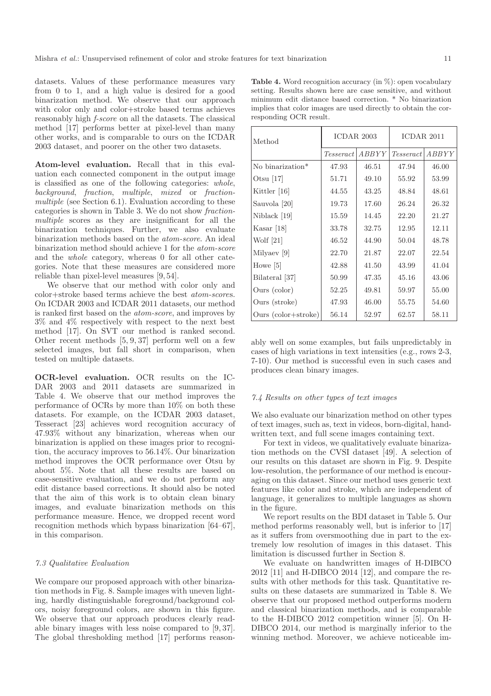datasets. Values of these performance measures vary from 0 to 1, and a high value is desired for a good binarization method. We observe that our approach with color only and color+stroke based terms achieves reasonably high f-score on all the datasets. The classical method [17] performs better at pixel-level than many other works, and is comparable to ours on the ICDAR 2003 dataset, and poorer on the other two datasets.

Atom-level evaluation. Recall that in this evaluation each connected component in the output image is classified as one of the following categories: whole, background, fraction, multiple, mixed or fractionmultiple (see Section 6.1). Evaluation according to these categories is shown in Table 3. We do not show fractionmultiple scores as they are insignificant for all the binarization techniques. Further, we also evaluate binarization methods based on the atom-score. An ideal binarization method should achieve 1 for the atom-score and the whole category, whereas 0 for all other categories. Note that these measures are considered more reliable than pixel-level measures [9, 54].

We observe that our method with color only and color+stroke based terms achieve the best atom-scores. On ICDAR 2003 and ICDAR 2011 datasets, our method is ranked first based on the atom-score, and improves by 3% and 4% respectively with respect to the next best method [17]. On SVT our method is ranked second. Other recent methods [5, 9, 37] perform well on a few selected images, but fall short in comparison, when tested on multiple datasets.

OCR-level evaluation. OCR results on the IC-DAR 2003 and 2011 datasets are summarized in Table 4. We observe that our method improves the performance of OCRs by more than 10% on both these datasets. For example, on the ICDAR 2003 dataset, Tesseract [23] achieves word recognition accuracy of 47.93% without any binarization, whereas when our binarization is applied on these images prior to recognition, the accuracy improves to 56.14%. Our binarization method improves the OCR performance over Otsu by about 5%. Note that all these results are based on case-sensitive evaluation, and we do not perform any edit distance based corrections. It should also be noted that the aim of this work is to obtain clean binary images, and evaluate binarization methods on this performance measure. Hence, we dropped recent word recognition methods which bypass binarization [64–67], in this comparison.

#### 7.3 Qualitative Evaluation

We compare our proposed approach with other binarization methods in Fig. 8. Sample images with uneven lighting, hardly distinguishable foreground/background colors, noisy foreground colors, are shown in this figure. We observe that our approach produces clearly readable binary images with less noise compared to [9, 37]. The global thresholding method [17] performs reason-

| Method                       | ICDAR 2003         |       | ICDAR 2011       |       |  |
|------------------------------|--------------------|-------|------------------|-------|--|
|                              | ABBYY<br>Tesseract |       | <i>Tesseract</i> | ABBYY |  |
| No binarization <sup>*</sup> | 47.93              | 46.51 | 47.94            | 46.00 |  |
| Otsu $[17]$                  | 51.71              | 49.10 | 55.92            | 53.99 |  |
| Kittler [16]                 | 44.55              | 43.25 | 48.84            | 48.61 |  |
| Sauvola [20]                 | 19.73              | 17.60 | 26.24            | 26.32 |  |
| Niblack [19]                 | 15.59              | 14.45 | 22.20            | 21.27 |  |
| Kasar $[18]$                 | 33.78              | 32.75 | 12.95            | 12.11 |  |
| Wolf $[21]$                  | 46.52              | 44.90 | 50.04            | 48.78 |  |
| Milyaev [9]                  | 22.70              | 21.87 | 22.07            | 22.54 |  |
| Howe $[5]$                   | 42.88              | 41.50 | 43.99            | 41.04 |  |
| Bilateral [37]               | 50.99              | 47.35 | 45.16            | 43.06 |  |
| Ours (color)                 | 52.25              | 49.81 | 59.97            | 55.00 |  |
| Ours (stroke)                | 47.93              | 46.00 | 55.75            | 54.60 |  |
| Ours $\text{(color+stroke)}$ | 56.14              | 52.97 | 62.57            | 58.11 |  |

**Table 4.** Word recognition accuracy (in  $\%$ ): open vocabulary setting. Results shown here are case sensitive, and without minimum edit distance based correction. \* No binarization implies that color images are used directly to obtain the corresponding OCR result.

Т

ably well on some examples, but fails unpredictably in cases of high variations in text intensities (e.g., rows 2-3, 7-10). Our method is successful even in such cases and produces clean binary images.

#### 7.4 Results on other types of text images

We also evaluate our binarization method on other types of text images, such as, text in videos, born-digital, handwritten text, and full scene images containing text.

For text in videos, we qualitatively evaluate binarization methods on the CVSI dataset [49]. A selection of our results on this dataset are shown in Fig. 9. Despite low-resolution, the performance of our method is encouraging on this dataset. Since our method uses generic text features like color and stroke, which are independent of language, it generalizes to multiple languages as shown in the figure.

We report results on the BDI dataset in Table 5. Our method performs reasonably well, but is inferior to [17] as it suffers from oversmoothing due in part to the extremely low resolution of images in this dataset. This limitation is discussed further in Section 8.

We evaluate on handwritten images of H-DIBCO 2012 [11] and H-DIBCO 2014 [12], and compare the results with other methods for this task. Quantitative results on these datasets are summarized in Table 8. We observe that our proposed method outperforms modern and classical binarization methods, and is comparable to the H-DIBCO 2012 competition winner [5]. On H-DIBCO 2014, our method is marginally inferior to the winning method. Moreover, we achieve noticeable im-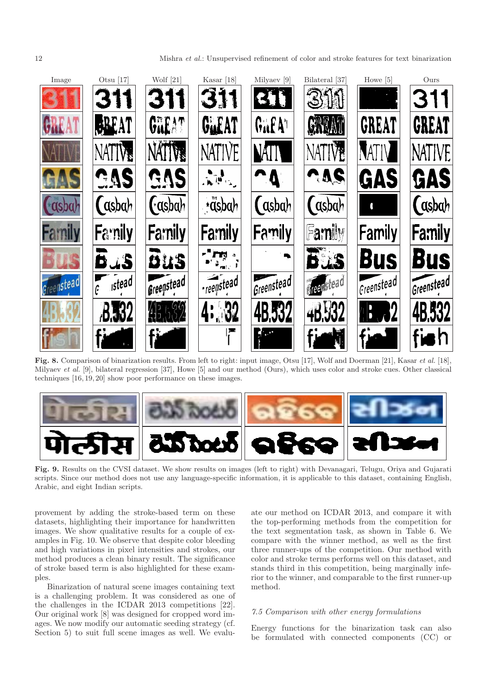

Fig. 8. Comparison of binarization results. From left to right: input image, Otsu [17], Wolf and Doerman [21], Kasar *et al.* [18], Milyaev *et al.* [9], bilateral regression [37], Howe [5] and our method (Ours), which uses color and stroke cues. Other classical techniques [16, 19, 20] show poor performance on these images.



Fig. 9. Results on the CVSI dataset. We show results on images (left to right) with Devanagari, Telugu, Oriya and Gujarati scripts. Since our method does not use any language-specific information, it is applicable to this dataset, containing English, Arabic, and eight Indian scripts.

provement by adding the stroke-based term on these datasets, highlighting their importance for handwritten images. We show qualitative results for a couple of examples in Fig. 10. We observe that despite color bleeding and high variations in pixel intensities and strokes, our method produces a clean binary result. The significance of stroke based term is also highlighted for these examples.

Binarization of natural scene images containing text is a challenging problem. It was considered as one of the challenges in the ICDAR 2013 competitions [22]. Our original work [8] was designed for cropped word images. We now modify our automatic seeding strategy (cf. Section 5) to suit full scene images as well. We evaluate our method on ICDAR 2013, and compare it with the top-performing methods from the competition for the text segmentation task, as shown in Table 6. We compare with the winner method, as well as the first three runner-ups of the competition. Our method with color and stroke terms performs well on this dataset, and stands third in this competition, being marginally inferior to the winner, and comparable to the first runner-up method.

### 7.5 Comparison with other energy formulations

Energy functions for the binarization task can also be formulated with connected components (CC) or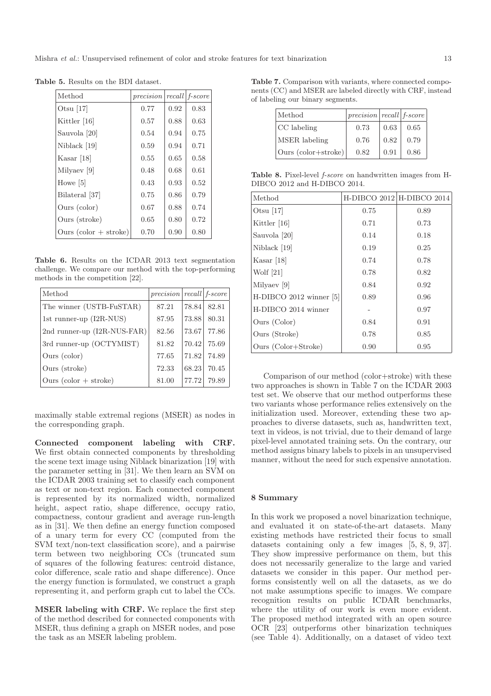| Method                         | precision |      | recall f-score |
|--------------------------------|-----------|------|----------------|
| Otsu $[17]$                    | 0.77      | 0.92 | 0.83           |
| Kittler $[16]$                 | 0.57      | 0.88 | 0.63           |
| Sauvola [20]                   | 0.54      | 0.94 | 0.75           |
| Niblack [19]                   | 0.59      | 0.94 | 0.71           |
| Kasar $[18]$                   | 0.55      | 0.65 | 0.58           |
| Milyaev [9]                    | 0.48      | 0.68 | 0.61           |
| Howe $[5]$                     | 0.43      | 0.93 | 0.52           |
| Bilateral [37]                 | 0.75      | 0.86 | 0.79           |
| Ours (color)                   | 0.67      | 0.88 | 0.74           |
| Ours (stroke)                  | 0.65      | 0.80 | 0.72           |
| Ours $\text{(color + stroke)}$ | 0.70      | 0.90 | 0.80           |

Table 5. Results on the BDI dataset.

Table 6. Results on the ICDAR 2013 text segmentation challenge. We compare our method with the top-performing methods in the competition [22].

| Method                         | $precision   recall   f-score$ |       |       |
|--------------------------------|--------------------------------|-------|-------|
| The winner (USTB-FuSTAR)       | 87.21                          | 78.84 | 82.81 |
| 1st runner-up $(12R-NUS)$      | 87.95                          | 73.88 | 80.31 |
| 2nd runner-up (I2R-NUS-FAR)    | 82.56                          | 73.67 | 77.86 |
| 3rd runner-up (OCTYMIST)       | 81.82                          | 70.42 | 75.69 |
| Ours (color)                   | 77.65                          | 71.82 | 74.89 |
| Ours (stroke)                  | 72.33                          | 68.23 | 70.45 |
| Ours $\text{(color + stroke)}$ | 81.00                          | 77.72 | 79.89 |

maximally stable extremal regions (MSER) as nodes in the corresponding graph.

Connected component labeling with CRF. We first obtain connected components by thresholding the scene text image using Niblack binarization [19] with the parameter setting in [31]. We then learn an SVM on the ICDAR 2003 training set to classify each component as text or non-text region. Each connected component is represented by its normalized width, normalized height, aspect ratio, shape difference, occupy ratio, compactness, contour gradient and average run-length as in [31]. We then define an energy function composed of a unary term for every CC (computed from the SVM text/non-text classification score), and a pairwise term between two neighboring CCs (truncated sum of squares of the following features: centroid distance, color difference, scale ratio and shape difference). Once the energy function is formulated, we construct a graph representing it, and perform graph cut to label the CCs.

MSER labeling with CRF. We replace the first step of the method described for connected components with MSER, thus defining a graph on MSER nodes, and pose the task as an MSER labeling problem.

Table 7. Comparison with variants, where connected components (CC) and MSER are labeled directly with CRF, instead of labeling our binary segments.

| Method                                  | $precision   recall   f-score$ |      |      |
|-----------------------------------------|--------------------------------|------|------|
| CC labeling                             | 0.73                           | 0.63 | 0.65 |
| MSER labeling                           | 0.76                           | 0.82 | 0.79 |
| Ours $\left(\text{color+stroke}\right)$ | 0.82                           | 0.91 | 0.86 |

Table 8. Pixel-level *f-score* on handwritten images from H-DIBCO 2012 and H-DIBCO 2014.

| Method                  |      | $H-DIBCO 2012 H-DIBCO 2014$ |
|-------------------------|------|-----------------------------|
| Otsu $[17]$             | 0.75 | 0.89                        |
| Kittler [16]            | 0.71 | 0.73                        |
| Sauvola [20]            | 0.14 | 0.18                        |
| Niblack [19]            | 0.19 | 0.25                        |
| Kasar $[18]$            | 0.74 | 0.78                        |
| Wolf $[21]$             | 0.78 | 0.82                        |
| Milyaev [9]             | 0.84 | 0.92                        |
| H-DIBCO 2012 winner [5] | 0.89 | 0.96                        |
| H-DIBCO 2014 winner     |      | 0.97                        |
| Ours (Color)            | 0.84 | 0.91                        |
| Ours (Stroke)           | 0.78 | 0.85                        |
| Ours (Color+Stroke)     | 0.90 | 0.95                        |

Comparison of our method (color+stroke) with these two approaches is shown in Table 7 on the ICDAR 2003 test set. We observe that our method outperforms these two variants whose performance relies extensively on the initialization used. Moreover, extending these two approaches to diverse datasets, such as, handwritten text, text in videos, is not trivial, due to their demand of large pixel-level annotated training sets. On the contrary, our method assigns binary labels to pixels in an unsupervised manner, without the need for such expensive annotation.

# 8 Summary

In this work we proposed a novel binarization technique, and evaluated it on state-of-the-art datasets. Many existing methods have restricted their focus to small datasets containing only a few images [5, 8, 9, 37]. They show impressive performance on them, but this does not necessarily generalize to the large and varied datasets we consider in this paper. Our method performs consistently well on all the datasets, as we do not make assumptions specific to images. We compare recognition results on public ICDAR benchmarks, where the utility of our work is even more evident. The proposed method integrated with an open source OCR [23] outperforms other binarization techniques (see Table 4). Additionally, on a dataset of video text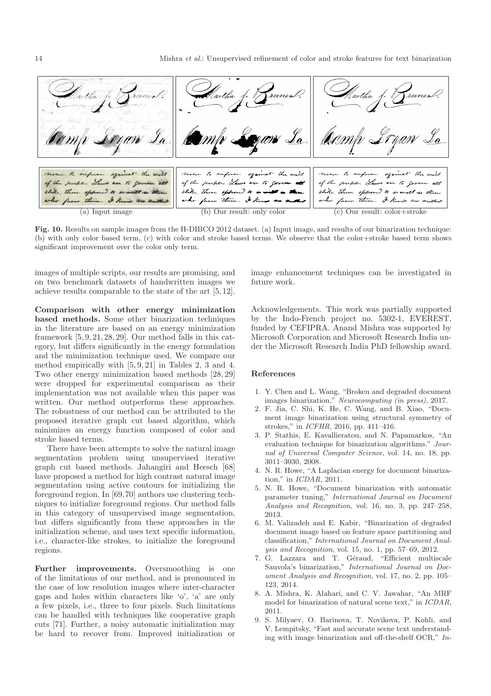

Fig. 10. Results on sample images from the H-DIBCO 2012 dataset. (a) Input image, and results of our binarization technique: (b) with only color based term, (c) with color and stroke based terms. We observe that the color+stroke based term shows significant improvement over the color only term.

images of multiple scripts, our results are promising, and on two benchmark datasets of handwritten images we achieve results comparable to the state of the art [5, 12].

Comparison with other energy minimization based methods. Some other binarization techniques in the literature are based on an energy minimization framework [5, 9, 21, 28, 29]. Our method falls in this category, but differs significantly in the energy formulation and the minimization technique used. We compare our method empirically with [5, 9, 21] in Tables 2, 3 and 4. Two other energy minimization based methods [28, 29] were dropped for experimental comparison as their implementation was not available when this paper was written. Our method outperforms these approaches. The robustness of our method can be attributed to the proposed iterative graph cut based algorithm, which minimizes an energy function composed of color and stroke based terms.

There have been attempts to solve the natural image segmentation problem using unsupervised iterative graph cut based methods. Jahangiri and Heesch [68] have proposed a method for high contrast natural image segmentation using active contours for initializing the foreground region. In [69,70] authors use clustering techniques to initialize foreground regions. Our method falls in this category of unsupervised image segmentation, but differs significantly from these approaches in the initialization scheme, and uses text specific information, i.e., character-like strokes, to initialize the foreground regions.

Further improvements. Oversmoothing is one of the limitations of our method, and is pronounced in the case of low resolution images where inter-character gaps and holes within characters like 'o', 'a' are only a few pixels, i.e., three to four pixels. Such limitations can be handled with techniques like cooperative graph cuts [71]. Further, a noisy automatic initialization may be hard to recover from. Improved initialization or image enhancement techniques can be investigated in future work.

Acknowledgements. This work was partially supported by the Indo-French project no. 5302-1, EVEREST, funded by CEFIPRA. Anand Mishra was supported by Microsoft Corporation and Microsoft Research India under the Microsoft Research India PhD fellowship award.

#### References

- 1. Y. Chen and L. Wang, "Broken and degraded document images binarization," *Neurocomputing (in press)*, 2017.
- 2. F. Jia, C. Shi, K. He, C. Wang, and B. Xiao, "Document image binarization using structural symmetry of strokes," in *ICFHR*, 2016, pp. 411–416.
- 3. P. Stathis, E. Kavallieratou, and N. Papamarkos, "An evaluation technique for binarization algorithms." *Journal of Universal Computer Science*, vol. 14, no. 18, pp. 3011–3030, 2008.
- 4. N. R. Howe, "A Laplacian energy for document binarization," in *ICDAR*, 2011.
- 5. N. R. Howe, "Document binarization with automatic parameter tuning," *International Journal on Document Analysis and Recognition*, vol. 16, no. 3, pp. 247–258, 2013.
- 6. M. Valizadeh and E. Kabir, "Binarization of degraded document image based on feature space partitioning and classification," *International Journal on Document Analysis and Recognition*, vol. 15, no. 1, pp. 57–69, 2012.
- 7. G. Lazzara and T. Géraud, "Efficient multiscale Sauvola's binarization," *International Journal on Document Analysis and Recognition*, vol. 17, no. 2, pp. 105– 123, 2014.
- 8. A. Mishra, K. Alahari, and C. V. Jawahar, "An MRF model for binarization of natural scene text," in *ICDAR*, 2011.
- 9. S. Milyaev, O. Barinova, T. Novikova, P. Kohli, and V. Lempitsky, "Fast and accurate scene text understanding with image binarization and off-the-shelf OCR," *In-*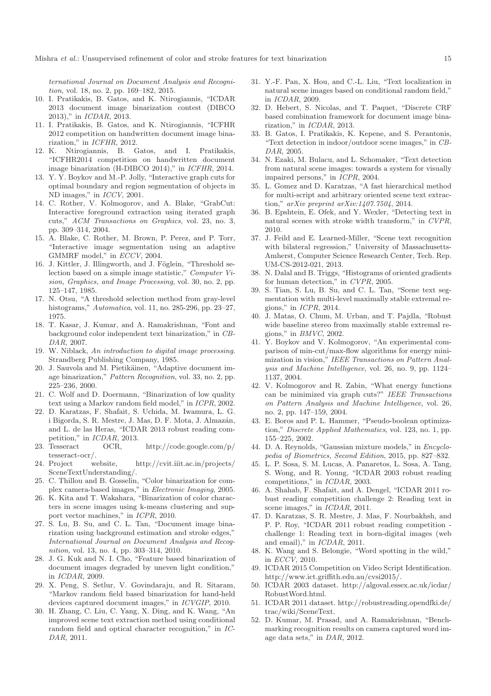*ternational Journal on Document Analysis and Recognition*, vol. 18, no. 2, pp. 169–182, 2015.

- 10. I. Pratikakis, B. Gatos, and K. Ntirogiannis, "ICDAR 2013 document image binarization contest (DIBCO 2013)," in *ICDAR*, 2013.
- 11. I. Pratikakis, B. Gatos, and K. Ntirogiannis, "ICFHR 2012 competition on handwritten document image binarization," in *ICFHR*, 2012.
- 12. K. Ntirogiannis, B. Gatos, and I. Pratikakis, "ICFHR2014 competition on handwritten document image binarization (H-DIBCO 2014)," in *ICFHR*, 2014.
- 13. Y. Y. Boykov and M.-P. Jolly, "Interactive graph cuts for optimal boundary and region segmentation of objects in ND images," in *ICCV*, 2001.
- 14. C. Rother, V. Kolmogorov, and A. Blake, "GrabCut: Interactive foreground extraction using iterated graph cuts," *ACM Transactions on Graphics*, vol. 23, no. 3, pp. 309–314, 2004.
- 15. A. Blake, C. Rother, M. Brown, P. Perez, and P. Torr, "Interactive image segmentation using an adaptive GMMRF model," in *ECCV*, 2004.
- 16. J. Kittler, J. Illingworth, and J. Föglein, "Threshold selection based on a simple image statistic," *Computer Vision, Graphics, and Image Processing*, vol. 30, no. 2, pp. 125–147, 1985.
- 17. N. Otsu, "A threshold selection method from gray-level histograms," *Automatica*, vol. 11, no. 285-296, pp. 23–27, 1975.
- 18. T. Kasar, J. Kumar, and A. Ramakrishnan, "Font and background color independent text binarization," in *CB-DAR*, 2007.
- 19. W. Niblack, *An introduction to digital image processing*. Strandberg Publishing Company, 1985.
- 20. J. Sauvola and M. Pietikäinen, "Adaptive document image binarization," *Pattern Recognition*, vol. 33, no. 2, pp. 225–236, 2000.
- 21. C. Wolf and D. Doermann, "Binarization of low quality text using a Markov random field model," in *ICPR*, 2002.
- 22. D. Karatzas, F. Shafait, S. Uchida, M. Iwamura, L. G. i Bigorda, S. R. Mestre, J. Mas, D. F. Mota, J. Almazán, and L. de las Heras, "ICDAR 2013 robust reading competition," in *ICDAR*, 2013.<br>23. Tesseract OCR,
- OCR, http://code.google.com/p/ tesseract-ocr/.
- 24. Project website, http://cvit.iiit.ac.in/projects/ SceneTextUnderstanding/.
- 25. C. Thillou and B. Gosselin, "Color binarization for complex camera-based images," in *Electronic Imaging*, 2005.
- 26. K. Kita and T. Wakahara, "Binarization of color characters in scene images using k-means clustering and support vector machines," in *ICPR*, 2010.
- 27. S. Lu, B. Su, and C. L. Tan, "Document image binarization using background estimation and stroke edges," *International Journal on Document Analysis and Recognition*, vol. 13, no. 4, pp. 303–314, 2010.
- 28. J. G. Kuk and N. I. Cho, "Feature based binarization of document images degraded by uneven light condition," in *ICDAR*, 2009.
- 29. X. Peng, S. Setlur, V. Govindaraju, and R. Sitaram, "Markov random field based binarization for hand-held devices captured document images," in *ICVGIP*, 2010.
- 30. H. Zhang, C. Liu, C. Yang, X. Ding, and K. Wang, "An improved scene text extraction method using conditional random field and optical character recognition," in *IC-DAR*, 2011.
- 31. Y.-F. Pan, X. Hou, and C.-L. Liu, "Text localization in natural scene images based on conditional random field," in *ICDAR*, 2009.
- 32. D. Hebert, S. Nicolas, and T. Paquet, "Discrete CRF based combination framework for document image binarization," in *ICDAR*, 2013.
- 33. B. Gatos, I. Pratikakis, K. Kepene, and S. Perantonis, "Text detection in indoor/outdoor scene images," in *CB-DAR*, 2005.
- 34. N. Ezaki, M. Bulacu, and L. Schomaker, "Text detection from natural scene images: towards a system for visually impaired persons," in *ICPR*, 2004.
- 35. L. Gomez and D. Karatzas, "A fast hierarchical method for multi-script and arbitrary oriented scene text extraction," *arXiv preprint arXiv:1407.7504*, 2014.
- 36. B. Epshtein, E. Ofek, and Y. Wexler, "Detecting text in natural scenes with stroke width transform," in *CVPR*, 2010.
- 37. J. Feild and E. Learned-Miller, "Scene text recognition with bilateral regression," University of Massachusetts-Amherst, Computer Science Research Center, Tech. Rep. UM-CS-2012-021, 2013.
- 38. N. Dalal and B. Triggs, "Histograms of oriented gradients for human detection," in *CVPR*, 2005.
- 39. S. Tian, S. Lu, B. Su, and C. L. Tan, "Scene text segmentation with multi-level maximally stable extremal regions," in *ICPR*, 2014.
- 40. J. Matas, O. Chum, M. Urban, and T. Pajdla, "Robust wide baseline stereo from maximally stable extremal regions," in *BMVC*, 2002.
- 41. Y. Boykov and V. Kolmogorov, "An experimental comparison of min-cut/max-flow algorithms for energy minimization in vision," *IEEE Transactions on Pattern Analysis and Machine Intelligence*, vol. 26, no. 9, pp. 1124– 1137, 2004.
- 42. V. Kolmogorov and R. Zabin, "What energy functions can be minimized via graph cuts?" *IEEE Transactions on Pattern Analysis and Machine Intelligence*, vol. 26, no. 2, pp. 147–159, 2004.
- 43. E. Boros and P. L. Hammer, "Pseudo-boolean optimization," *Discrete Applied Mathematics*, vol. 123, no. 1, pp. 155–225, 2002.
- 44. D. A. Reynolds, "Gaussian mixture models," in *Encyclopedia of Biometrics, Second Edition*, 2015, pp. 827–832.
- 45. L. P. Sosa, S. M. Lucas, A. Panaretos, L. Sosa, A. Tang, S. Wong, and R. Young, "ICDAR 2003 robust reading competitions," in *ICDAR*, 2003.
- 46. A. Shahab, F. Shafait, and A. Dengel, "ICDAR 2011 robust reading competition challenge 2: Reading text in scene images," in *ICDAR*, 2011.
- 47. D. Karatzas, S. R. Mestre, J. Mas, F. Nourbakhsh, and P. P. Roy, "ICDAR 2011 robust reading competition challenge 1: Reading text in born-digital images (web and email)," in *ICDAR*, 2011.
- 48. K. Wang and S. Belongie, "Word spotting in the wild," in *ECCV*, 2010.
- 49. ICDAR 2015 Competition on Video Script Identification. http://www.ict.griffith.edu.au/cvsi2015/.
- 50. ICDAR 2003 dataset. http://algoval.essex.ac.uk/icdar/ RobustWord.html.
- 51. ICDAR 2011 dataset. http://robustreading.opendfki.de/ trac/wiki/SceneText.
- 52. D. Kumar, M. Prasad, and A. Ramakrishnan, "Benchmarking recognition results on camera captured word image data sets," in *DAR*, 2012.